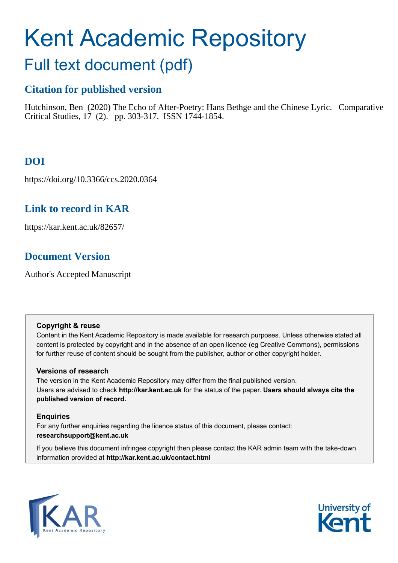# Kent Academic Repository

## Full text document (pdf)

## **Citation for published version**

Hutchinson, Ben (2020) The Echo of After-Poetry: Hans Bethge and the Chinese Lyric. Comparative Critical Studies, 17 (2). pp. 303-317. ISSN 1744-1854.

## **DOI**

https://doi.org/10.3366/ccs.2020.0364

## **Link to record in KAR**

https://kar.kent.ac.uk/82657/

## **Document Version**

Author's Accepted Manuscript

#### **Copyright & reuse**

Content in the Kent Academic Repository is made available for research purposes. Unless otherwise stated all content is protected by copyright and in the absence of an open licence (eg Creative Commons), permissions for further reuse of content should be sought from the publisher, author or other copyright holder.

#### **Versions of research**

The version in the Kent Academic Repository may differ from the final published version. Users are advised to check **http://kar.kent.ac.uk** for the status of the paper. **Users should always cite the published version of record.**

#### **Enquiries**

For any further enquiries regarding the licence status of this document, please contact: **researchsupport@kent.ac.uk**

If you believe this document infringes copyright then please contact the KAR admin team with the take-down information provided at **http://kar.kent.ac.uk/contact.html**



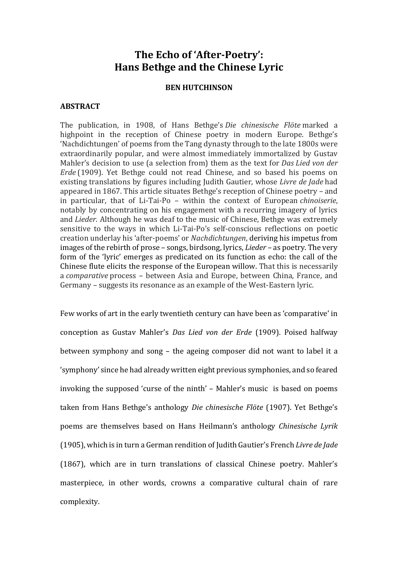### **The Echo of 'After-Poetry': Hans Bethge and the Chinese Lyric**

#### **BEN HUTCHINSON**

#### **ABSTRACT**

The publication, in 1908, of Hans Bethge's *Die chinesische Flöte* marked a highpoint in the reception of Chinese poetry in modern Europe. Bethge's 'Nachdichtungen' of poems from the Tang dynasty through to the late 1800s were extraordinarily popular, and were almost immediately immortalized by Gustav Mahler's decision to use (a selection from) them as the text for *Das Lied von der Erde* (1909). Yet Bethge could not read Chinese, and so based his poems on existing translations by figures including Judith Gautier, whose *Livre de Jade* had appeared in 1867. This article situates Bethge's reception of Chinese poetry – and in particular, that of Li-Tai-Po – within the context of European *chinoiserie*, notably by concentrating on his engagement with a recurring imagery of lyrics and *Lieder*. Although he was deaf to the music of Chinese, Bethge was extremely sensitive to the ways in which Li-Tai-Po's self-conscious reflections on poetic creation underlay his 'after-poems' or *Nachdichtungen*, deriving his impetus from images of the rebirth of prose – songs, birdsong, lyrics, *Lieder* – as poetry. The very form of the 'lyric' emerges as predicated on its function as echo: the call of the Chinese flute elicits the response of the European willow. That this is necessarily a *comparative* process – between Asia and Europe, between China, France, and Germany – suggests its resonance as an example of the West-Eastern lyric.

Few works of art in the early twentieth century can have been as 'comparative' in conception as Gustav Mahler's *Das Lied von der Erde* (1909). Poised halfway between symphony and song – the ageing composer did not want to label it a 'symphony' since he had already written eight previous symphonies, and so feared invoking the supposed 'curse of the ninth' – Mahler's music is based on poems taken from Hans Bethge's anthology *Die chinesische Flöte* (1907). Yet Bethge's poems are themselves based on Hans Heilmann's anthology *Chinesische Lyrik*  (1905), which is in turn a German rendition of Judith Gautier's French *Livre de Jade*  (1867), which are in turn translations of classical Chinese poetry. Mahler's masterpiece, in other words, crowns a comparative cultural chain of rare complexity.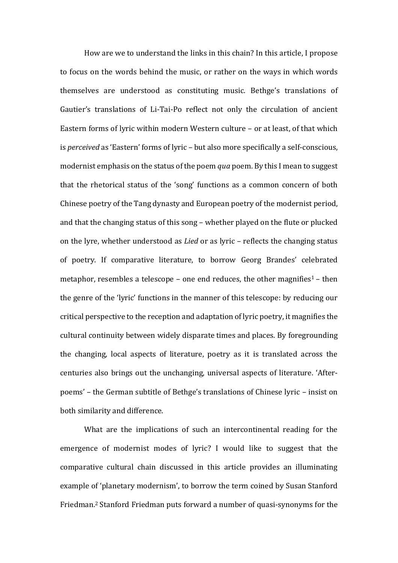How are we to understand the links in this chain? In this article, I propose to focus on the words behind the music, or rather on the ways in which words themselves are understood as constituting music. Bethge's translations of Gautier's translations of Li-Tai-Po reflect not only the circulation of ancient Eastern forms of lyric within modern Western culture – or at least, of that which is *perceived* as 'Eastern' forms of lyric – but also more specifically a self-conscious, modernist emphasis on the status of the poem *qua* poem. By this I mean to suggest that the rhetorical status of the 'song' functions as a common concern of both Chinese poetry of the Tang dynasty and European poetry of the modernist period, and that the changing status of this song – whether played on the flute or plucked on the lyre, whether understood as *Lied* or as lyric – reflects the changing status of poetry. If comparative literature, to borrow Georg Brandes' celebrated metaphor, resembles a telescope – one end reduces, the other magnifies<sup>1</sup> – then the genre of the 'lyric' functions in the manner of this telescope: by reducing our critical perspective to the reception and adaptation of lyric poetry, it magnifies the cultural continuity between widely disparate times and places. By foregrounding the changing, local aspects of literature, poetry as it is translated across the centuries also brings out the unchanging, universal aspects of literature. 'Afterpoems' – the German subtitle of Bethge's translations of Chinese lyric – insist on both similarity and difference.

What are the implications of such an intercontinental reading for the emergence of modernist modes of lyric? I would like to suggest that the comparative cultural chain discussed in this article provides an illuminating example of 'planetary modernism', to borrow the term coined by Susan Stanford Friedman. <sup>2</sup> Stanford Friedman puts forward a number of quasi-synonyms for the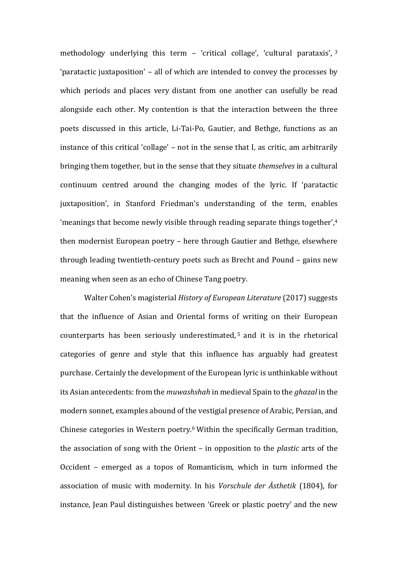methodology underlying this term – 'critical collage', 'cultural parataxis', <sup>3</sup> 'paratactic juxtaposition' – all of which are intended to convey the processes by which periods and places very distant from one another can usefully be read alongside each other. My contention is that the interaction between the three poets discussed in this article, Li-Tai-Po, Gautier, and Bethge, functions as an instance of this critical 'collage' – not in the sense that I, as critic, am arbitrarily bringing them together, but in the sense that they situate *themselves* in a cultural continuum centred around the changing modes of the lyric. If 'paratactic juxtaposition', in Stanford Friedman's understanding of the term, enables 'meanings that become newly visible through reading separate things together',<sup>4</sup> then modernist European poetry – here through Gautier and Bethge, elsewhere through leading twentieth-century poets such as Brecht and Pound – gains new meaning when seen as an echo of Chinese Tang poetry.

Walter Cohen's magisterial *History of European Literature* (2017) suggests that the influence of Asian and Oriental forms of writing on their European counterparts has been seriously underestimated, <sup>5</sup> and it is in the rhetorical categories of genre and style that this influence has arguably had greatest purchase. Certainly the development of the European lyric is unthinkable without its Asian antecedents: from the *muwashshah* in medieval Spain to the *ghazal* in the modern sonnet, examples abound of the vestigial presence of Arabic, Persian, and Chinese categories in Western poetry.<sup>6</sup> Within the specifically German tradition, the association of song with the Orient – in opposition to the *plastic* arts of the Occident – emerged as a topos of Romanticism, which in turn informed the association of music with modernity. In his *Vorschule der Ästhetik* (1804), for instance, Jean Paul distinguishes between 'Greek or plastic poetry' and the new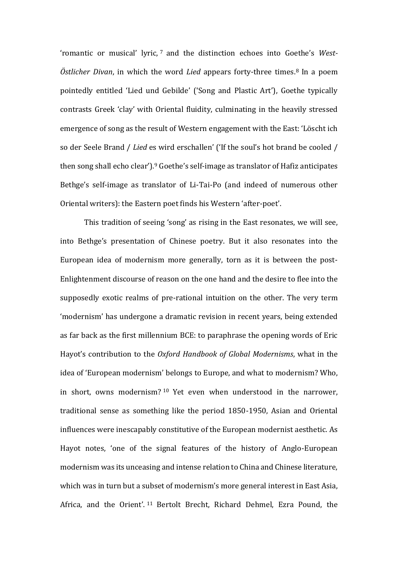'romantic or musical' lyric, <sup>7</sup> and the distinction echoes into Goethe's *West-Östlicher Divan*, in which the word *Lied* appears forty-three times.<sup>8</sup> In a poem pointedly entitled 'Lied und Gebilde' ('Song and Plastic Art'), Goethe typically contrasts Greek 'clay' with Oriental fluidity, culminating in the heavily stressed emergence of song as the result of Western engagement with the East: 'Löscht ich so der Seele Brand / *Lied* es wird erschallen' ('If the soul's hot brand be cooled / then song shall echo clear').<sup>9</sup> Goethe's self-image as translator of Hafiz anticipates Bethge's self-image as translator of Li-Tai-Po (and indeed of numerous other Oriental writers): the Eastern poet finds his Western 'after-poet'.

This tradition of seeing 'song' as rising in the East resonates, we will see, into Bethge's presentation of Chinese poetry. But it also resonates into the European idea of modernism more generally, torn as it is between the post-Enlightenment discourse of reason on the one hand and the desire to flee into the supposedly exotic realms of pre-rational intuition on the other. The very term 'modernism' has undergone a dramatic revision in recent years, being extended as far back as the first millennium BCE: to paraphrase the opening words of Eric Hayot's contribution to the *Oxford Handbook of Global Modernisms*, what in the idea of 'European modernism' belongs to Europe, and what to modernism? Who, in short, owns modernism? <sup>10</sup> Yet even when understood in the narrower, traditional sense as something like the period 1850-1950, Asian and Oriental influences were inescapably constitutive of the European modernist aesthetic. As Hayot notes, 'one of the signal features of the history of Anglo-European modernism was its unceasing and intense relation to China and Chinese literature, which was in turn but a subset of modernism's more general interest in East Asia, Africa, and the Orient'. <sup>11</sup> Bertolt Brecht, Richard Dehmel, Ezra Pound, the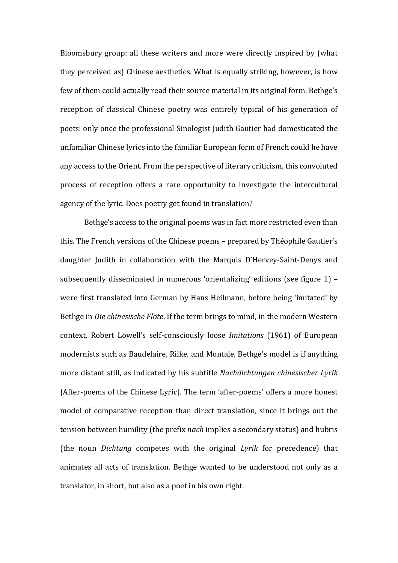Bloomsbury group: all these writers and more were directly inspired by (what they perceived as) Chinese aesthetics. What is equally striking, however, is how few of them could actually read their source material in its original form. Bethge's reception of classical Chinese poetry was entirely typical of his generation of poets: only once the professional Sinologist Judith Gautier had domesticated the unfamiliar Chinese lyrics into the familiar European form of French could he have any access to the Orient. From the perspective of literary criticism, this convoluted process of reception offers a rare opportunity to investigate the intercultural agency of the lyric. Does poetry get found in translation?

Bethge's access to the original poems was in fact more restricted even than this. The French versions of the Chinese poems – prepared by Théophile Gautier's daughter Judith in collaboration with the Marquis D'Hervey-Saint-Denys and subsequently disseminated in numerous 'orientalizing' editions (see figure 1) – were first translated into German by Hans Heilmann, before being 'imitated' by Bethge in *Die chinesische Flöte*. If the term brings to mind, in the modern Western context, Robert Lowell's self-consciously loose *Imitations* (1961) of European modernists such as Baudelaire, Rilke, and Montale, Bethge's model is if anything more distant still, as indicated by his subtitle *Nachdichtungen chinesischer Lyrik* [After-poems of the Chinese Lyric]. The term 'after-poems' offers a more honest model of comparative reception than direct translation, since it brings out the tension between humility (the prefix *nach* implies a secondary status) and hubris (the noun *Dichtung* competes with the original *Lyrik* for precedence) that animates all acts of translation. Bethge wanted to be understood not only as a translator, in short, but also as a poet in his own right.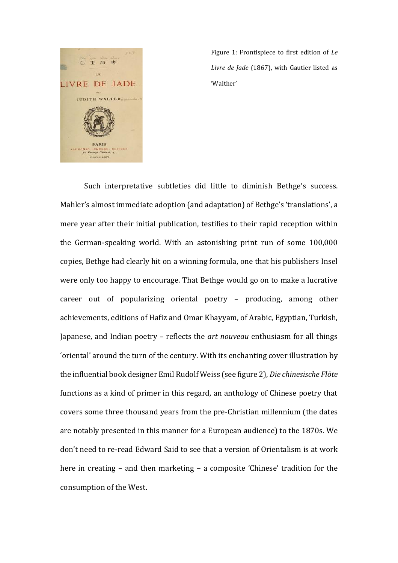

Figure 1: Frontispiece to first edition of *Le Livre de Jade* (1867), with Gautier listed as 'Walther'

Such interpretative subtleties did little to diminish Bethge's success. Mahler's almost immediate adoption (and adaptation) of Bethge's 'translations', a mere year after their initial publication, testifies to their rapid reception within the German-speaking world. With an astonishing print run of some 100,000 copies, Bethge had clearly hit on a winning formula, one that his publishers Insel were only too happy to encourage. That Bethge would go on to make a lucrative career out of popularizing oriental poetry – producing, among other achievements, editions of Hafiz and Omar Khayyam, of Arabic, Egyptian, Turkish, Japanese, and Indian poetry – reflects the *art nouveau* enthusiasm for all things 'oriental' around the turn of the century. With its enchanting cover illustration by the influential book designer Emil Rudolf Weiss (see figure 2), *Die chinesische Flöte*  functions as a kind of primer in this regard, an anthology of Chinese poetry that covers some three thousand years from the pre-Christian millennium (the dates are notably presented in this manner for a European audience) to the 1870s. We don't need to re-read Edward Said to see that a version of Orientalism is at work here in creating – and then marketing – a composite 'Chinese' tradition for the consumption of the West.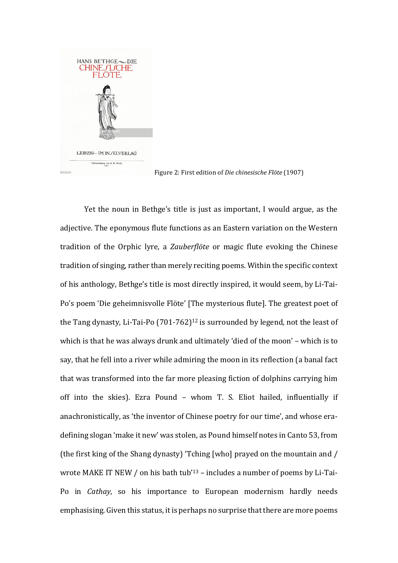

Figure 2: First edition of *Die chinesische Flöte* (1907)

Yet the noun in Bethge's title is just as important, I would argue, as the adjective. The eponymous flute functions as an Eastern variation on the Western tradition of the Orphic lyre, a *Zauberflöte* or magic flute evoking the Chinese tradition of singing, rather than merely reciting poems. Within the specific context of his anthology, Bethge's title is most directly inspired, it would seem, by Li-Tai-Po's poem 'Die geheimnisvolle Flöte' [The mysterious flute]. The greatest poet of the Tang dynasty, Li-Tai-Po (701-762) <sup>12</sup> is surrounded by legend, not the least of which is that he was always drunk and ultimately 'died of the moon' – which is to say, that he fell into a river while admiring the moon in its reflection (a banal fact that was transformed into the far more pleasing fiction of dolphins carrying him off into the skies). Ezra Pound – whom T. S. Eliot hailed, influentially if anachronistically, as 'the inventor of Chinese poetry for our time', and whose eradefining slogan 'make it new' was stolen, as Pound himself notes in Canto 53, from (the first king of the Shang dynasty) 'Tching [who] prayed on the mountain and / wrote MAKE IT NEW / on his bath tub'<sup>13</sup> – includes a number of poems by Li-Tai-Po in *Cathay*, so his importance to European modernism hardly needs emphasising. Given this status, it is perhaps no surprise that there are more poems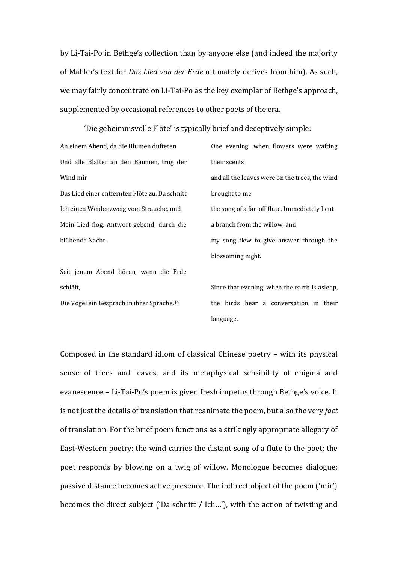by Li-Tai-Po in Bethge's collection than by anyone else (and indeed the majority of Mahler's text for *Das Lied von der Erde* ultimately derives from him). As such, we may fairly concentrate on Li-Tai-Po as the key exemplar of Bethge's approach, supplemented by occasional references to other poets of the era.

'Die geheimnisvolle Flöte' is typically brief and deceptively simple:

An einem Abend, da die Blumen dufteten Und alle Blätter an den Bäumen, trug der Wind mir Das Lied einer entfernten Flöte zu. Da schnitt Ich einen Weidenzweig vom Strauche, und Mein Lied flog, Antwort gebend, durch die blühende Nacht. One evening, when flowers were wafting their scents brought to me

Seit jenem Abend hören, wann die Erde schläft,

Die Vögel ein Gespräch in ihrer Sprache.<sup>14</sup>

and all the leaves were on the trees, the wind the song of a far-off flute. Immediately I cut a branch from the willow, and my song flew to give answer through the blossoming night.

Since that evening, when the earth is asleep, the birds hear a conversation in their language.

Composed in the standard idiom of classical Chinese poetry – with its physical sense of trees and leaves, and its metaphysical sensibility of enigma and evanescence – Li-Tai-Po's poem is given fresh impetus through Bethge's voice. It is not just the details of translation that reanimate the poem, but also the very *fact*  of translation. For the brief poem functions as a strikingly appropriate allegory of East-Western poetry: the wind carries the distant song of a flute to the poet; the poet responds by blowing on a twig of willow. Monologue becomes dialogue; passive distance becomes active presence. The indirect object of the poem ('mir') becomes the direct subject ('Da schnitt / Ich…'), with the action of twisting and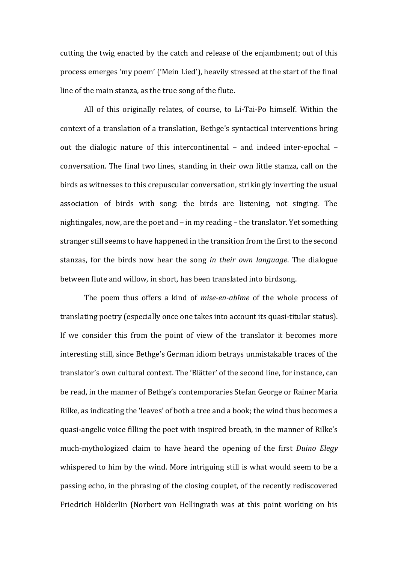cutting the twig enacted by the catch and release of the enjambment; out of this process emerges 'my poem' ('Mein Lied'), heavily stressed at the start of the final line of the main stanza, as the true song of the flute.

All of this originally relates, of course, to Li-Tai-Po himself. Within the context of a translation of a translation, Bethge's syntactical interventions bring out the dialogic nature of this intercontinental – and indeed inter-epochal – conversation. The final two lines, standing in their own little stanza, call on the birds as witnesses to this crepuscular conversation, strikingly inverting the usual association of birds with song: the birds are listening, not singing. The nightingales, now, are the poet and – in my reading – the translator. Yet something stranger still seems to have happened in the transition from the first to the second stanzas, for the birds now hear the song *in their own language*. The dialogue between flute and willow, in short, has been translated into birdsong.

The poem thus offers a kind of *mise-en-abîme* of the whole process of translating poetry (especially once one takes into account its quasi-titular status). If we consider this from the point of view of the translator it becomes more interesting still, since Bethge's German idiom betrays unmistakable traces of the translator's own cultural context. The 'Blätter' of the second line, for instance, can be read, in the manner of Bethge's contemporaries Stefan George or Rainer Maria Rilke, as indicating the 'leaves' of both a tree and a book; the wind thus becomes a quasi-angelic voice filling the poet with inspired breath, in the manner of Rilke's much-mythologized claim to have heard the opening of the first *Duino Elegy* whispered to him by the wind. More intriguing still is what would seem to be a passing echo, in the phrasing of the closing couplet, of the recently rediscovered Friedrich Hölderlin (Norbert von Hellingrath was at this point working on his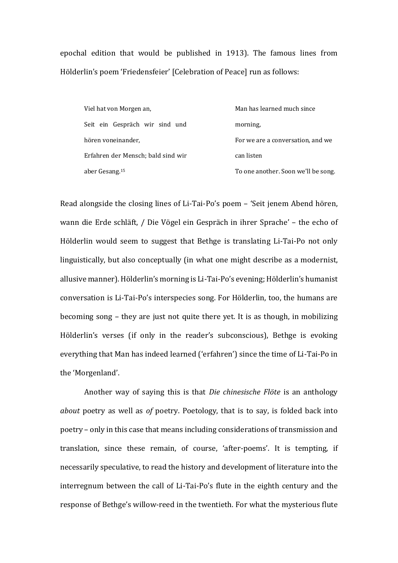epochal edition that would be published in 1913). The famous lines from Hölderlin's poem 'Friedensfeier' [Celebration of Peace] run as follows:

| Viel hat von Morgen an,            | Man has learned much since          |
|------------------------------------|-------------------------------------|
| Seit ein Gespräch wir sind und     | morning,                            |
| hören voneinander.                 | For we are a conversation, and we   |
| Erfahren der Mensch; bald sind wir | can listen                          |
| aber Gesang. <sup>15</sup>         | To one another. Soon we'll be song. |

Read alongside the closing lines of Li-Tai-Po's poem – 'Seit jenem Abend hören, wann die Erde schläft, / Die Vögel ein Gespräch in ihrer Sprache' – the echo of Hölderlin would seem to suggest that Bethge is translating Li-Tai-Po not only linguistically, but also conceptually (in what one might describe as a modernist, allusive manner). Hölderlin's morning is Li-Tai-Po's evening; Hölderlin's humanist conversation is Li-Tai-Po's interspecies song. For Hölderlin, too, the humans are becoming song – they are just not quite there yet. It is as though, in mobilizing Hölderlin's verses (if only in the reader's subconscious), Bethge is evoking everything that Man has indeed learned ('erfahren') since the time of Li-Tai-Po in the 'Morgenland'.

Another way of saying this is that *Die chinesische Flöte* is an anthology *about* poetry as well as *of* poetry. Poetology, that is to say, is folded back into poetry – only in this case that means including considerations of transmission and translation, since these remain, of course, 'after-poems'. It is tempting, if necessarily speculative, to read the history and development of literature into the interregnum between the call of Li-Tai-Po's flute in the eighth century and the response of Bethge's willow-reed in the twentieth. For what the mysterious flute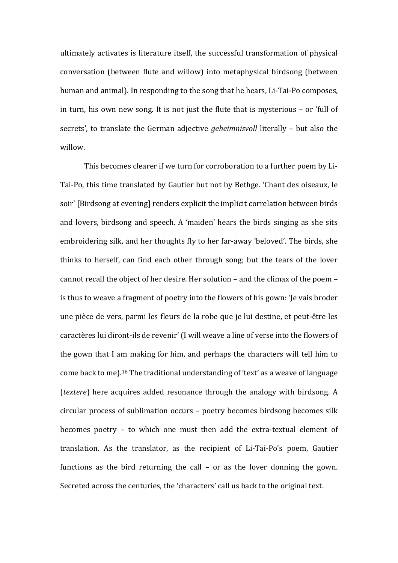ultimately activates is literature itself, the successful transformation of physical conversation (between flute and willow) into metaphysical birdsong (between human and animal). In responding to the song that he hears, Li-Tai-Po composes, in turn, his own new song. It is not just the flute that is mysterious – or 'full of secrets', to translate the German adjective *geheimnisvoll* literally – but also the willow.

This becomes clearer if we turn for corroboration to a further poem by Li-Tai-Po, this time translated by Gautier but not by Bethge. 'Chant des oiseaux, le soir' [Birdsong at evening] renders explicit the implicit correlation between birds and lovers, birdsong and speech. A 'maiden' hears the birds singing as she sits embroidering silk, and her thoughts fly to her far-away 'beloved'. The birds, she thinks to herself, can find each other through song; but the tears of the lover cannot recall the object of her desire. Her solution – and the climax of the poem – is thus to weave a fragment of poetry into the flowers of his gown: 'Je vais broder une pièce de vers, parmi les fleurs de la robe que je lui destine, et peut-être les caractères lui diront-ils de revenir' (I will weave a line of verse into the flowers of the gown that I am making for him, and perhaps the characters will tell him to come back to me). <sup>16</sup> The traditional understanding of 'text' as a weave of language (*textere*) here acquires added resonance through the analogy with birdsong. A circular process of sublimation occurs – poetry becomes birdsong becomes silk becomes poetry – to which one must then add the extra-textual element of translation. As the translator, as the recipient of Li-Tai-Po's poem, Gautier functions as the bird returning the call – or as the lover donning the gown. Secreted across the centuries, the 'characters' call us back to the original text.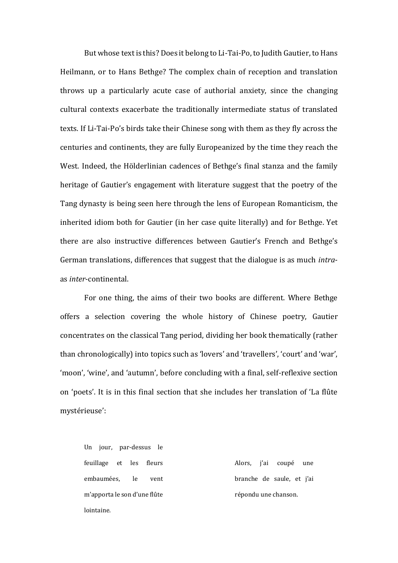But whose text is this? Does it belong to Li-Tai-Po, to Judith Gautier, to Hans Heilmann, or to Hans Bethge? The complex chain of reception and translation throws up a particularly acute case of authorial anxiety, since the changing cultural contexts exacerbate the traditionally intermediate status of translated texts. If Li-Tai-Po's birds take their Chinese song with them as they fly across the centuries and continents, they are fully Europeanized by the time they reach the West. Indeed, the Hölderlinian cadences of Bethge's final stanza and the family heritage of Gautier's engagement with literature suggest that the poetry of the Tang dynasty is being seen here through the lens of European Romanticism, the inherited idiom both for Gautier (in her case quite literally) and for Bethge. Yet there are also instructive differences between Gautier's French and Bethge's German translations, differences that suggest that the dialogue is as much *intra*as *inter*-continental.

For one thing, the aims of their two books are different. Where Bethge offers a selection covering the whole history of Chinese poetry, Gautier concentrates on the classical Tang period, dividing her book thematically (rather than chronologically) into topics such as 'lovers' and 'travellers', 'court' and 'war', 'moon', 'wine', and 'autumn', before concluding with a final, self-reflexive section on 'poets'. It is in this final section that she includes her translation of 'La flûte mystérieuse':

Un jour, par-dessus le feuillage et les fleurs embaumées, le vent m'apporta le son d'une flûte lointaine.

Alors, j'ai coupé une branche de saule, et j'ai répondu une chanson.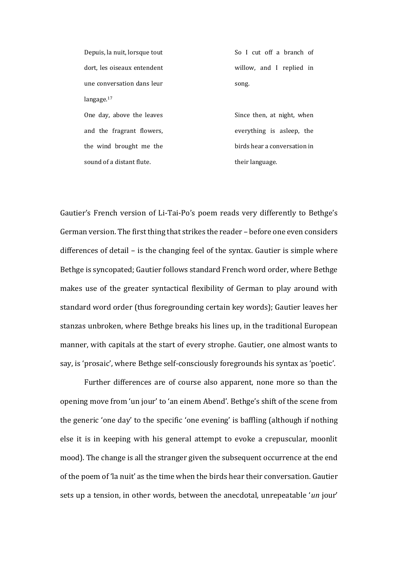Depuis, la nuit, lorsque tout dort, les oiseaux entendent une conversation dans leur langage.<sup>17</sup>

One day, above the leaves and the fragrant flowers, the wind brought me the sound of a distant flute.

So I cut off a branch of willow, and I replied in song.

Since then, at night, when everything is asleep, the birds hear a conversation in their language.

Gautier's French version of Li-Tai-Po's poem reads very differently to Bethge's German version. The first thing that strikes the reader – before one even considers differences of detail – is the changing feel of the syntax. Gautier is simple where Bethge is syncopated; Gautier follows standard French word order, where Bethge makes use of the greater syntactical flexibility of German to play around with standard word order (thus foregrounding certain key words); Gautier leaves her stanzas unbroken, where Bethge breaks his lines up, in the traditional European manner, with capitals at the start of every strophe. Gautier, one almost wants to say, is 'prosaic', where Bethge self-consciously foregrounds his syntax as 'poetic'.

Further differences are of course also apparent, none more so than the opening move from 'un jour' to 'an einem Abend'. Bethge's shift of the scene from the generic 'one day' to the specific 'one evening' is baffling (although if nothing else it is in keeping with his general attempt to evoke a crepuscular, moonlit mood). The change is all the stranger given the subsequent occurrence at the end of the poem of 'la nuit' as the time when the birds hear their conversation. Gautier sets up a tension, in other words, between the anecdotal, unrepeatable '*un* jour'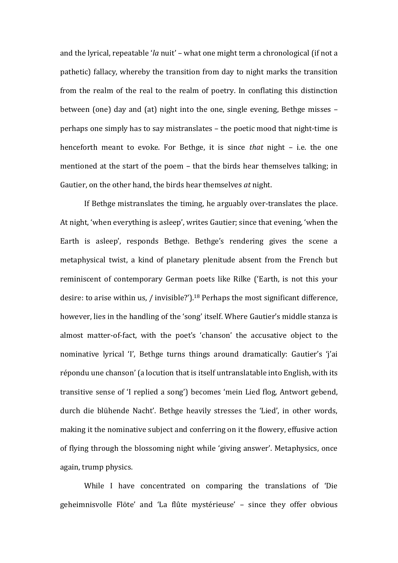and the lyrical, repeatable '*la* nuit' – what one might term a chronological (if not a pathetic) fallacy, whereby the transition from day to night marks the transition from the realm of the real to the realm of poetry. In conflating this distinction between (one) day and (at) night into the one, single evening, Bethge misses – perhaps one simply has to say mistranslates – the poetic mood that night-time is henceforth meant to evoke. For Bethge, it is since *that* night – i.e. the one mentioned at the start of the poem – that the birds hear themselves talking; in Gautier, on the other hand, the birds hear themselves *at* night.

If Bethge mistranslates the timing, he arguably over-translates the place. At night, 'when everything is asleep', writes Gautier; since that evening, 'when the Earth is asleep', responds Bethge. Bethge's rendering gives the scene a metaphysical twist, a kind of planetary plenitude absent from the French but reminiscent of contemporary German poets like Rilke ('Earth, is not this your desire: to arise within us, / invisible?').<sup>18</sup> Perhaps the most significant difference, however, lies in the handling of the 'song' itself. Where Gautier's middle stanza is almost matter-of-fact, with the poet's 'chanson' the accusative object to the nominative lyrical 'I', Bethge turns things around dramatically: Gautier's 'j'ai répondu une chanson' (a locution that is itself untranslatable into English, with its transitive sense of 'I replied a song') becomes 'mein Lied flog, Antwort gebend, durch die blühende Nacht'. Bethge heavily stresses the 'Lied', in other words, making it the nominative subject and conferring on it the flowery, effusive action of flying through the blossoming night while 'giving answer'. Metaphysics, once again, trump physics.

While I have concentrated on comparing the translations of 'Die geheimnisvolle Flöte' and 'La flûte mystérieuse' – since they offer obvious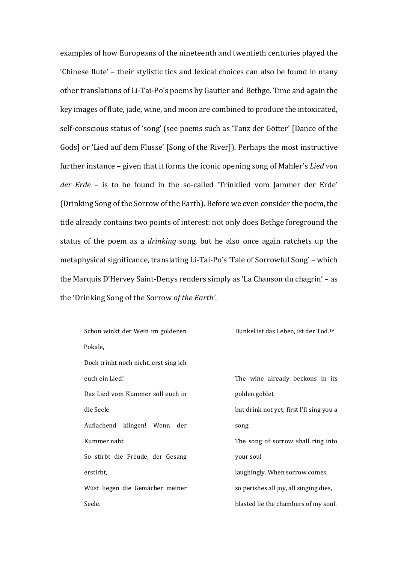examples of how Europeans of the nineteenth and twentieth centuries played the 'Chinese flute' – their stylistic tics and lexical choices can also be found in many other translations of Li-Tai-Po's poems by Gautier and Bethge. Time and again the key images of flute, jade, wine, and moon are combined to produce the intoxicated, self-conscious status of 'song' (see poems such as 'Tanz der Götter' [Dance of the Gods] or 'Lied auf dem Flusse' [Song of the River]). Perhaps the most instructive further instance – given that it forms the iconic opening song of Mahler's *Lied von der Erde* – is to be found in the so-called 'Trinklied vom Jammer der Erde' (Drinking Song of the Sorrow of the Earth). Before we even consider the poem, the title already contains two points of interest: not only does Bethge foreground the status of the poem as a *drinking* song, but he also once again ratchets up the metaphysical significance, translating Li-Tai-Po's 'Tale of Sorrowful Song' – which the Marquis D'Hervey Saint-Denys renders simply as 'La Chanson du chagrin' – as the 'Drinking Song of the Sorrow *of the Earth'*.

| Schon winkt der Wein im goldenen      | Dunkel ist das Leben, ist der Tod. <sup>19</sup> |
|---------------------------------------|--------------------------------------------------|
| Pokale,                               |                                                  |
| Doch trinkt noch nicht, erst sing ich |                                                  |
| euch ein Lied!                        | The wine already beckons in its                  |
| Das Lied vom Kummer soll euch in      | golden goblet                                    |
| die Seele                             | but drink not yet; first I'll sing you a         |
| Auflachend klingen! Wenn der          | song.                                            |
| Kummer naht                           | The song of sorrow shall ring into               |
| So stirbt die Freude, der Gesang      | your soul                                        |
| erstirbt,                             | laughingly. When sorrow comes,                   |
| Wüst liegen die Gemächer meiner       | so perishes all joy, all singing dies,           |
| Seele.                                | blasted lie the chambers of my soul.             |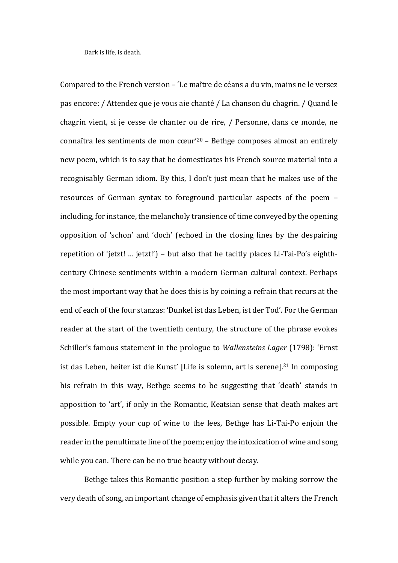Dark is life, is death.

Compared to the French version – 'Le maître de céans a du vin, mains ne le versez pas encore: / Attendez que je vous aie chanté / La chanson du chagrin. / Quand le chagrin vient, si je cesse de chanter ou de rire, / Personne, dans ce monde, ne connaîtra les sentiments de mon cœur'<sup>20</sup> – Bethge composes almost an entirely new poem, which is to say that he domesticates his French source material into a recognisably German idiom. By this, I don't just mean that he makes use of the resources of German syntax to foreground particular aspects of the poem – including, for instance, the melancholy transience of time conveyed by the opening opposition of 'schon' and 'doch' (echoed in the closing lines by the despairing repetition of 'jetzt! ... jetzt!') – but also that he tacitly places Li-Tai-Po's eighthcentury Chinese sentiments within a modern German cultural context. Perhaps the most important way that he does this is by coining a refrain that recurs at the end of each of the four stanzas: 'Dunkel ist das Leben, ist der Tod'. For the German reader at the start of the twentieth century, the structure of the phrase evokes Schiller's famous statement in the prologue to *Wallensteins Lager* (1798): 'Ernst ist das Leben, heiter ist die Kunst' [Life is solemn, art is serene]. <sup>21</sup> In composing his refrain in this way, Bethge seems to be suggesting that 'death' stands in apposition to 'art', if only in the Romantic, Keatsian sense that death makes art possible. Empty your cup of wine to the lees, Bethge has Li-Tai-Po enjoin the reader in the penultimate line of the poem; enjoy the intoxication of wine and song while you can. There can be no true beauty without decay.

Bethge takes this Romantic position a step further by making sorrow the very death of song, an important change of emphasis given that it alters the French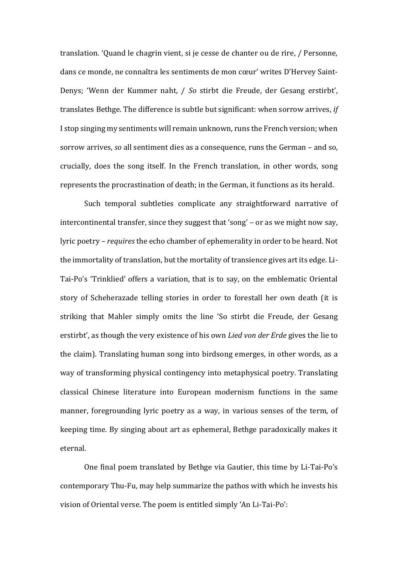translation. 'Quand le chagrin vient, si je cesse de chanter ou de rire, / Personne, dans ce monde, ne connaîtra les sentiments de mon cœur' writes D'Hervey Saint-Denys; 'Wenn der Kummer naht, / *So* stirbt die Freude, der Gesang erstirbt', translates Bethge. The difference is subtle but significant: when sorrow arrives, *if*  I stop singing my sentiments will remain unknown, runs the French version; when sorrow arrives, *so* all sentiment dies as a consequence, runs the German – and so, crucially, does the song itself. In the French translation, in other words, song represents the procrastination of death; in the German, it functions as its herald.

Such temporal subtleties complicate any straightforward narrative of intercontinental transfer, since they suggest that 'song' – or as we might now say, lyric poetry – *requires* the echo chamber of ephemerality in order to be heard. Not the immortality of translation, but the mortality of transience gives art its edge. Li-Tai-Po's 'Trinklied' offers a variation, that is to say, on the emblematic Oriental story of Scheherazade telling stories in order to forestall her own death (it is striking that Mahler simply omits the line 'So stirbt die Freude, der Gesang erstirbt', as though the very existence of his own *Lied von der Erde* gives the lie to the claim). Translating human song into birdsong emerges, in other words, as a way of transforming physical contingency into metaphysical poetry. Translating classical Chinese literature into European modernism functions in the same manner, foregrounding lyric poetry as a way, in various senses of the term, of keeping time. By singing about art as ephemeral, Bethge paradoxically makes it eternal.

One final poem translated by Bethge via Gautier, this time by Li-Tai-Po's contemporary Thu-Fu, may help summarize the pathos with which he invests his vision of Oriental verse. The poem is entitled simply 'An Li-Tai-Po':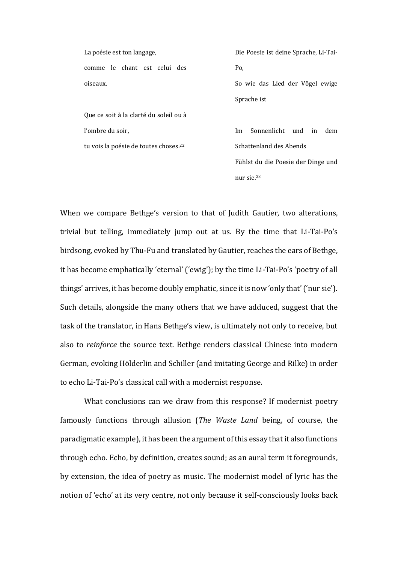La poésie est ton langage, comme le chant est celui des oiseaux. Po,

Que ce soit à la clarté du soleil ou à l'ombre du soir, tu vois la poésie de toutes choses.<sup>22</sup>

Die Poesie ist deine Sprache, Li-Tai-So wie das Lied der Vögel ewige

Sprache ist

Im Sonnenlicht und in dem Schattenland des Abends Fühlst du die Poesie der Dinge und nur sie.<sup>23</sup>

When we compare Bethge's version to that of Judith Gautier, two alterations, trivial but telling, immediately jump out at us. By the time that Li-Tai-Po's birdsong, evoked by Thu-Fu and translated by Gautier, reaches the ears of Bethge, it has become emphatically 'eternal' ('ewig'); by the time Li-Tai-Po's 'poetry of all things' arrives, it has become doubly emphatic, since it is now 'only that' ('nur sie'). Such details, alongside the many others that we have adduced, suggest that the task of the translator, in Hans Bethge's view, is ultimately not only to receive, but also to *reinforce* the source text. Bethge renders classical Chinese into modern German, evoking Hölderlin and Schiller (and imitating George and Rilke) in order to echo Li-Tai-Po's classical call with a modernist response.

What conclusions can we draw from this response? If modernist poetry famously functions through allusion (*The Waste Land* being, of course, the paradigmatic example), it has been the argument of this essay that it also functions through echo. Echo, by definition, creates sound; as an aural term it foregrounds, by extension, the idea of poetry as music. The modernist model of lyric has the notion of 'echo' at its very centre, not only because it self-consciously looks back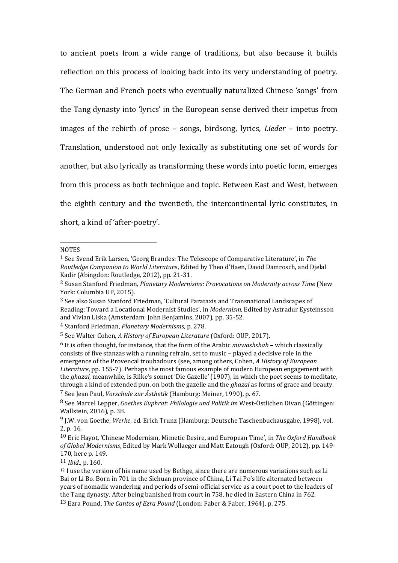to ancient poets from a wide range of traditions, but also because it builds reflection on this process of looking back into its very understanding of poetry. The German and French poets who eventually naturalized Chinese 'songs' from the Tang dynasty into 'lyrics' in the European sense derived their impetus from images of the rebirth of prose – songs, birdsong, lyrics, *Lieder* – into poetry. Translation, understood not only lexically as substituting one set of words for another, but also lyrically as transforming these words into poetic form, emerges from this process as both technique and topic. Between East and West, between the eighth century and the twentieth, the intercontinental lyric constitutes, in short, a kind of 'after-poetry'.

4 Stanford Friedman, *Planetary Modernisms*, p. 278.

**NOTES** 

<sup>1</sup> See Svend Erik Larsen, 'Georg Brandes: The Telescope of Comparative Literature', in *The Routledge Companion to World Literature*, Edited by Theo d'Haen, David Damrosch, and Djelal Kadir (Abingdon: Routledge, 2012), pp. 21-31.

<sup>2</sup> Susan Stanford Friedman, *Planetary Modernisms: Provocations on Modernity across Time* (New York: Columbia UP, 2015).

<sup>3</sup> See also Susan Stanford Friedman, 'Cultural Parataxis and Transnational Landscapes of Reading: Toward a Locational Modernist Studies', in *Modernism*, Edited by Astradur Eysteinsson and Vivian Liska (Amsterdam: John Benjamins, 2007), pp. 35-52.

<sup>5</sup> See Walter Cohen, *A History of European Literature* (Oxford: OUP, 2017).

<sup>6</sup> It is often thought, for instance, that the form of the Arabic *muwashshah* – which classically consists of five stanzas with a running refrain, set to music – played a decisive role in the emergence of the Provencal troubadours (see, among others, Cohen, *A History of European Literature*, pp. 155-7). Perhaps the most famous example of modern European engagement with the *ghazal*, meanwhile, is Rilke's sonnet 'Die Gazelle' (1907), in which the poet seems to meditate, through a kind of extended pun, on both the gazelle and the *ghazal* as forms of grace and beauty. 7 See Jean Paul, *Vorschule zur Ästhetik* (Hamburg: Meiner, 1990), p. 67.

<sup>8</sup> See Marcel Lepper, *Goethes Euphrat: Philologie und Politik im* West-Östlichen Divan (Göttingen: Wallstein, 2016), p. 38.

<sup>9</sup> J.W. von Goethe, *Werke*, ed. Erich Trunz (Hamburg: Deutsche Taschenbuchausgabe, 1998), vol. 2, p. 16.

<sup>10</sup> Eric Hayot, 'Chinese Modernism, Mimetic Desire, and European Time', in *The Oxford Handbook of Global Modernisms*, Edited by Mark Wollaeger and Matt Eatough (Oxford: OUP, 2012), pp. 149- 170, here p. 149.

<sup>11</sup> *Ibid*., p. 160.

 $12$  I use the version of his name used by Bethge, since there are numerous variations such as Li Bai or Li Bo. Born in 701 in the Sichuan province of China, Li Tai Po's life alternated between years of nomadic wandering and periods of semi-official service as a court poet to the leaders of the Tang dynasty. After being banished from court in 758, he died in Eastern China in 762.

<sup>13</sup> Ezra Pound, *The Cantos of Ezra Pound* (London: Faber & Faber, 1964), p. 275.